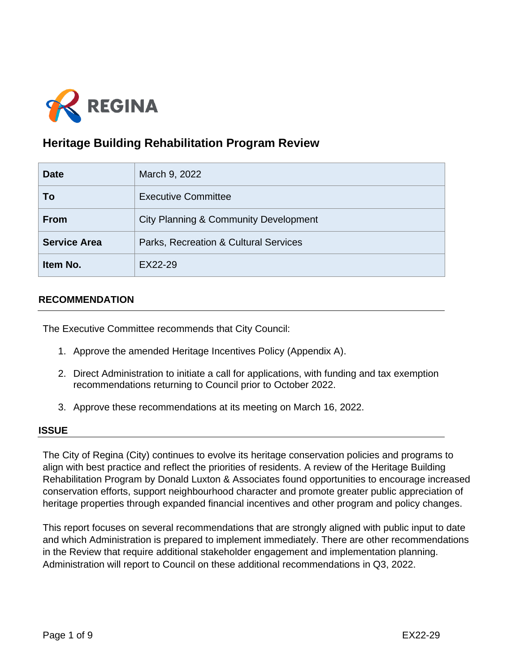

# **Heritage Building Rehabilitation Program Review**

| <b>Date</b>         | March 9, 2022                                    |  |
|---------------------|--------------------------------------------------|--|
| To                  | <b>Executive Committee</b>                       |  |
| <b>From</b>         | <b>City Planning &amp; Community Development</b> |  |
| <b>Service Area</b> | Parks, Recreation & Cultural Services            |  |
| Item No.            | EX22-29                                          |  |

## **RECOMMENDATION**

The Executive Committee recommends that City Council:

- 1. Approve the amended Heritage Incentives Policy (Appendix A).
- 2. Direct Administration to initiate a call for applications, with funding and tax exemption recommendations returning to Council prior to October 2022.
- 3. Approve these recommendations at its meeting on March 16, 2022.

### **ISSUE**

The City of Regina (City) continues to evolve its heritage conservation policies and programs to align with best practice and reflect the priorities of residents. A review of the Heritage Building Rehabilitation Program by Donald Luxton & Associates found opportunities to encourage increased conservation efforts, support neighbourhood character and promote greater public appreciation of heritage properties through expanded financial incentives and other program and policy changes.

This report focuses on several recommendations that are strongly aligned with public input to date and which Administration is prepared to implement immediately. There are other recommendations in the Review that require additional stakeholder engagement and implementation planning. Administration will report to Council on these additional recommendations in Q3, 2022.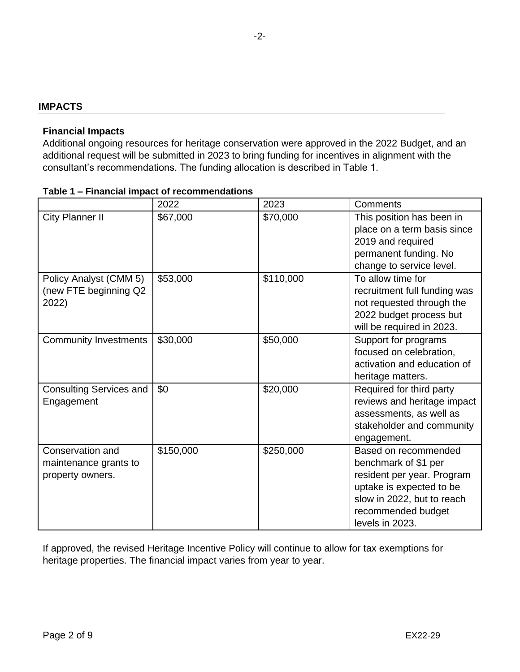## **IMPACTS**

### **Financial Impacts**

Additional ongoing resources for heritage conservation were approved in the 2022 Budget, and an additional request will be submitted in 2023 to bring funding for incentives in alignment with the consultant's recommendations. The funding allocation is described in Table 1.

|                                                               | 2022      | 2023      | Comments                                                                                                                                                                      |
|---------------------------------------------------------------|-----------|-----------|-------------------------------------------------------------------------------------------------------------------------------------------------------------------------------|
| City Planner II                                               | \$67,000  | \$70,000  | This position has been in<br>place on a term basis since<br>2019 and required<br>permanent funding. No<br>change to service level.                                            |
| Policy Analyst (CMM 5)<br>(new FTE beginning Q2<br>2022)      | \$53,000  | \$110,000 | To allow time for<br>recruitment full funding was<br>not requested through the<br>2022 budget process but<br>will be required in 2023.                                        |
| <b>Community Investments</b>                                  | \$30,000  | \$50,000  | Support for programs<br>focused on celebration,<br>activation and education of<br>heritage matters.                                                                           |
| <b>Consulting Services and</b><br>Engagement                  | \$0       | \$20,000  | Required for third party<br>reviews and heritage impact<br>assessments, as well as<br>stakeholder and community<br>engagement.                                                |
| Conservation and<br>maintenance grants to<br>property owners. | \$150,000 | \$250,000 | Based on recommended<br>benchmark of \$1 per<br>resident per year. Program<br>uptake is expected to be<br>slow in 2022, but to reach<br>recommended budget<br>levels in 2023. |

#### **Table 1 – Financial impact of recommendations**

If approved, the revised Heritage Incentive Policy will continue to allow for tax exemptions for heritage properties. The financial impact varies from year to year.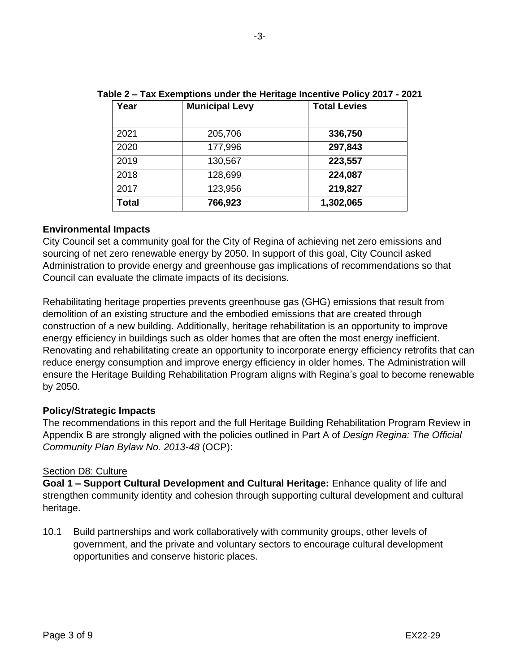| Year         | <b>Municipal Levy</b> | <b>Total Levies</b> |
|--------------|-----------------------|---------------------|
| 2021         | 205,706               | 336,750             |
| 2020         | 177,996               | 297,843             |
| 2019         | 130,567               | 223,557             |
| 2018         | 128,699               | 224,087             |
| 2017         | 123,956               | 219,827             |
| <b>Total</b> | 766,923               | 1,302,065           |

**Table 2 – Tax Exemptions under the Heritage Incentive Policy 2017 - 2021**

### **Environmental Impacts**

City Council set a community goal for the City of Regina of achieving net zero emissions and sourcing of net zero renewable energy by 2050. In support of this goal, City Council asked Administration to provide energy and greenhouse gas implications of recommendations so that Council can evaluate the climate impacts of its decisions.

Rehabilitating heritage properties prevents greenhouse gas (GHG) emissions that result from demolition of an existing structure and the embodied emissions that are created through construction of a new building. Additionally, heritage rehabilitation is an opportunity to improve energy efficiency in buildings such as older homes that are often the most energy inefficient. Renovating and rehabilitating create an opportunity to incorporate energy efficiency retrofits that can reduce energy consumption and improve energy efficiency in older homes. The Administration will ensure the Heritage Building Rehabilitation Program aligns with Regina's goal to become renewable by 2050.

## **Policy/Strategic Impacts**

The recommendations in this report and the full Heritage Building Rehabilitation Program Review in Appendix B are strongly aligned with the policies outlined in Part A of *Design Regina: The Official Community Plan Bylaw No. 2013-48* (OCP):

### Section D8: Culture

**Goal 1 – Support Cultural Development and Cultural Heritage:** Enhance quality of life and strengthen community identity and cohesion through supporting cultural development and cultural heritage.

10.1 Build partnerships and work collaboratively with community groups, other levels of government, and the private and voluntary sectors to encourage cultural development opportunities and conserve historic places.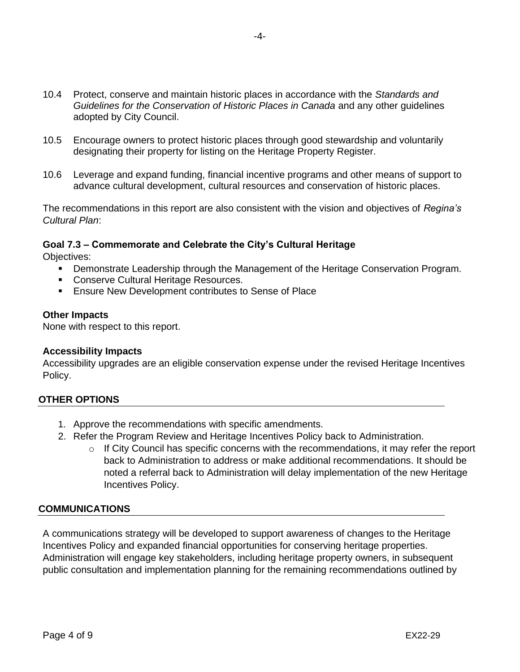- 10.4 Protect, conserve and maintain historic places in accordance with the *Standards and Guidelines for the Conservation of Historic Places in Canada* and any other guidelines adopted by City Council.
- 10.5 Encourage owners to protect historic places through good stewardship and voluntarily designating their property for listing on the Heritage Property Register.
- 10.6 Leverage and expand funding, financial incentive programs and other means of support to advance cultural development, cultural resources and conservation of historic places.

The recommendations in this report are also consistent with the vision and objectives of *Regina's Cultural Plan*:

### **Goal 7.3 – Commemorate and Celebrate the City's Cultural Heritage**

Objectives:

- Demonstrate Leadership through the Management of the Heritage Conservation Program.
- Conserve Cultural Heritage Resources.
- Ensure New Development contributes to Sense of Place

#### **Other Impacts**

None with respect to this report.

#### **Accessibility Impacts**

Accessibility upgrades are an eligible conservation expense under the revised Heritage Incentives Policy.

### **OTHER OPTIONS**

- 1. Approve the recommendations with specific amendments.
- 2. Refer the Program Review and Heritage Incentives Policy back to Administration.
	- $\circ$  If City Council has specific concerns with the recommendations, it may refer the report back to Administration to address or make additional recommendations. It should be noted a referral back to Administration will delay implementation of the new Heritage Incentives Policy.

### **COMMUNICATIONS**

A communications strategy will be developed to support awareness of changes to the Heritage Incentives Policy and expanded financial opportunities for conserving heritage properties. Administration will engage key stakeholders, including heritage property owners, in subsequent public consultation and implementation planning for the remaining recommendations outlined by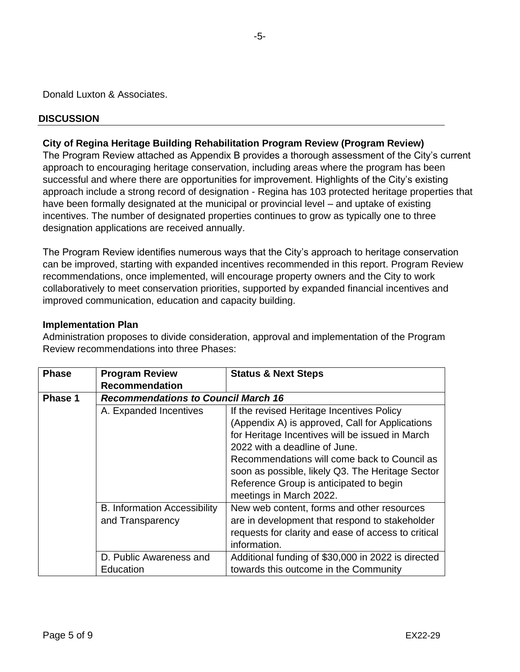Donald Luxton & Associates.

## **DISCUSSION**

## **City of Regina Heritage Building Rehabilitation Program Review (Program Review)**

The Program Review attached as Appendix B provides a thorough assessment of the City's current approach to encouraging heritage conservation, including areas where the program has been successful and where there are opportunities for improvement. Highlights of the City's existing approach include a strong record of designation - Regina has 103 protected heritage properties that have been formally designated at the municipal or provincial level – and uptake of existing incentives. The number of designated properties continues to grow as typically one to three designation applications are received annually.

The Program Review identifies numerous ways that the City's approach to heritage conservation can be improved, starting with expanded incentives recommended in this report. Program Review recommendations, once implemented, will encourage property owners and the City to work collaboratively to meet conservation priorities, supported by expanded financial incentives and improved communication, education and capacity building.

### **Implementation Plan**

Administration proposes to divide consideration, approval and implementation of the Program Review recommendations into three Phases:

| <b>Phase</b>   | <b>Program Review</b>                      | <b>Status &amp; Next Steps</b>                      |  |  |
|----------------|--------------------------------------------|-----------------------------------------------------|--|--|
|                | <b>Recommendation</b>                      |                                                     |  |  |
| <b>Phase 1</b> | <b>Recommendations to Council March 16</b> |                                                     |  |  |
|                | A. Expanded Incentives                     | If the revised Heritage Incentives Policy           |  |  |
|                |                                            | (Appendix A) is approved, Call for Applications     |  |  |
|                |                                            | for Heritage Incentives will be issued in March     |  |  |
|                |                                            | 2022 with a deadline of June.                       |  |  |
|                |                                            | Recommendations will come back to Council as        |  |  |
|                |                                            | soon as possible, likely Q3. The Heritage Sector    |  |  |
|                |                                            | Reference Group is anticipated to begin             |  |  |
|                |                                            | meetings in March 2022.                             |  |  |
|                | <b>B. Information Accessibility</b>        | New web content, forms and other resources          |  |  |
|                | and Transparency                           | are in development that respond to stakeholder      |  |  |
|                |                                            | requests for clarity and ease of access to critical |  |  |
|                |                                            | information.                                        |  |  |
|                | D. Public Awareness and                    | Additional funding of \$30,000 in 2022 is directed  |  |  |
|                | Education                                  | towards this outcome in the Community               |  |  |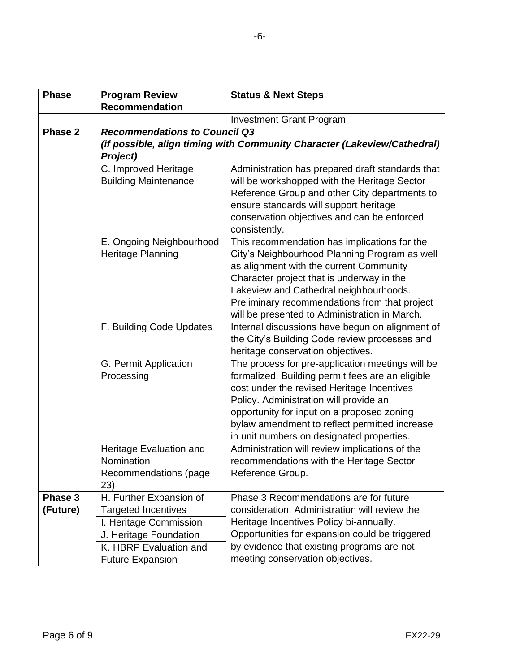| <b>Phase</b>        | <b>Program Review</b>                                                                                                                                          | <b>Status &amp; Next Steps</b>                                                                                                                                                                                                                                                                                                           |  |  |
|---------------------|----------------------------------------------------------------------------------------------------------------------------------------------------------------|------------------------------------------------------------------------------------------------------------------------------------------------------------------------------------------------------------------------------------------------------------------------------------------------------------------------------------------|--|--|
|                     | <b>Recommendation</b>                                                                                                                                          |                                                                                                                                                                                                                                                                                                                                          |  |  |
|                     |                                                                                                                                                                | <b>Investment Grant Program</b>                                                                                                                                                                                                                                                                                                          |  |  |
| Phase 2             | <b>Recommendations to Council Q3</b><br>(if possible, align timing with Community Character (Lakeview/Cathedral)<br><b>Project)</b>                            |                                                                                                                                                                                                                                                                                                                                          |  |  |
|                     | C. Improved Heritage<br><b>Building Maintenance</b>                                                                                                            | Administration has prepared draft standards that<br>will be workshopped with the Heritage Sector<br>Reference Group and other City departments to<br>ensure standards will support heritage<br>conservation objectives and can be enforced<br>consistently.                                                                              |  |  |
|                     | E. Ongoing Neighbourhood<br>Heritage Planning                                                                                                                  | This recommendation has implications for the<br>City's Neighbourhood Planning Program as well<br>as alignment with the current Community<br>Character project that is underway in the<br>Lakeview and Cathedral neighbourhoods.<br>Preliminary recommendations from that project<br>will be presented to Administration in March.        |  |  |
|                     | F. Building Code Updates                                                                                                                                       | Internal discussions have begun on alignment of<br>the City's Building Code review processes and<br>heritage conservation objectives.                                                                                                                                                                                                    |  |  |
|                     | G. Permit Application<br>Processing                                                                                                                            | The process for pre-application meetings will be<br>formalized. Building permit fees are an eligible<br>cost under the revised Heritage Incentives<br>Policy. Administration will provide an<br>opportunity for input on a proposed zoning<br>bylaw amendment to reflect permitted increase<br>in unit numbers on designated properties. |  |  |
|                     | Heritage Evaluation and<br>Nomination<br>Recommendations (page<br>23)                                                                                          | Administration will review implications of the<br>recommendations with the Heritage Sector<br>Reference Group.                                                                                                                                                                                                                           |  |  |
| Phase 3<br>(Future) | H. Further Expansion of<br><b>Targeted Incentives</b><br>I. Heritage Commission<br>J. Heritage Foundation<br>K. HBRP Evaluation and<br><b>Future Expansion</b> | Phase 3 Recommendations are for future<br>consideration. Administration will review the<br>Heritage Incentives Policy bi-annually.<br>Opportunities for expansion could be triggered<br>by evidence that existing programs are not<br>meeting conservation objectives.                                                                   |  |  |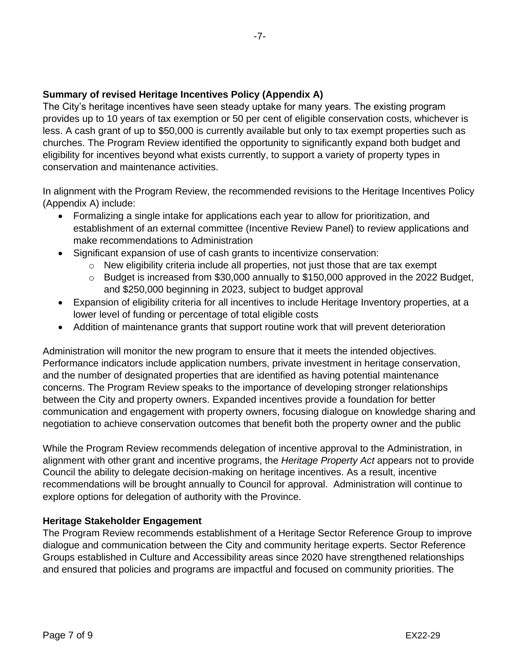# **Summary of revised Heritage Incentives Policy (Appendix A)**

The City's heritage incentives have seen steady uptake for many years. The existing program provides up to 10 years of tax exemption or 50 per cent of eligible conservation costs, whichever is less. A cash grant of up to \$50,000 is currently available but only to tax exempt properties such as churches. The Program Review identified the opportunity to significantly expand both budget and eligibility for incentives beyond what exists currently, to support a variety of property types in conservation and maintenance activities.

In alignment with the Program Review, the recommended revisions to the Heritage Incentives Policy (Appendix A) include:

- Formalizing a single intake for applications each year to allow for prioritization, and establishment of an external committee (Incentive Review Panel) to review applications and make recommendations to Administration
- Significant expansion of use of cash grants to incentivize conservation:
	- o New eligibility criteria include all properties, not just those that are tax exempt
	- o Budget is increased from \$30,000 annually to \$150,000 approved in the 2022 Budget, and \$250,000 beginning in 2023, subject to budget approval
- Expansion of eligibility criteria for all incentives to include Heritage Inventory properties, at a lower level of funding or percentage of total eligible costs
- Addition of maintenance grants that support routine work that will prevent deterioration

Administration will monitor the new program to ensure that it meets the intended objectives. Performance indicators include application numbers, private investment in heritage conservation, and the number of designated properties that are identified as having potential maintenance concerns. The Program Review speaks to the importance of developing stronger relationships between the City and property owners. Expanded incentives provide a foundation for better communication and engagement with property owners, focusing dialogue on knowledge sharing and negotiation to achieve conservation outcomes that benefit both the property owner and the public

While the Program Review recommends delegation of incentive approval to the Administration, in alignment with other grant and incentive programs, the *Heritage Property Act* appears not to provide Council the ability to delegate decision-making on heritage incentives. As a result, incentive recommendations will be brought annually to Council for approval. Administration will continue to explore options for delegation of authority with the Province.

## **Heritage Stakeholder Engagement**

The Program Review recommends establishment of a Heritage Sector Reference Group to improve dialogue and communication between the City and community heritage experts. Sector Reference Groups established in Culture and Accessibility areas since 2020 have strengthened relationships and ensured that policies and programs are impactful and focused on community priorities. The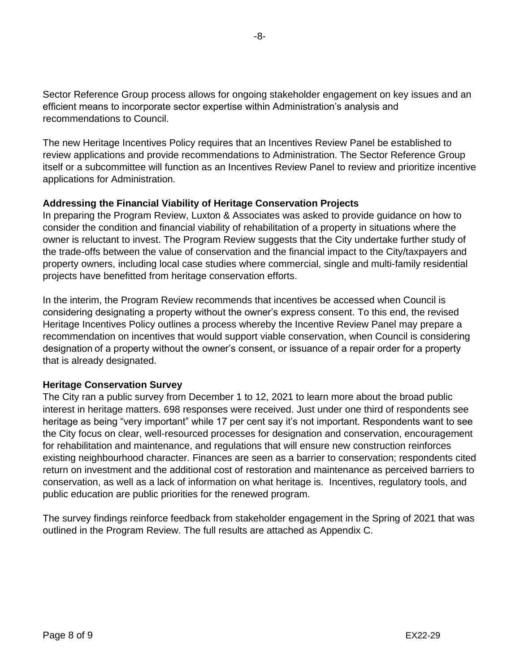Sector Reference Group process allows for ongoing stakeholder engagement on key issues and an efficient means to incorporate sector expertise within Administration's analysis and recommendations to Council.

The new Heritage Incentives Policy requires that an Incentives Review Panel be established to review applications and provide recommendations to Administration. The Sector Reference Group itself or a subcommittee will function as an Incentives Review Panel to review and prioritize incentive applications for Administration.

# **Addressing the Financial Viability of Heritage Conservation Projects**

In preparing the Program Review, Luxton & Associates was asked to provide guidance on how to consider the condition and financial viability of rehabilitation of a property in situations where the owner is reluctant to invest. The Program Review suggests that the City undertake further study of the trade-offs between the value of conservation and the financial impact to the City/taxpayers and property owners, including local case studies where commercial, single and multi-family residential projects have benefitted from heritage conservation efforts.

In the interim, the Program Review recommends that incentives be accessed when Council is considering designating a property without the owner's express consent. To this end, the revised Heritage Incentives Policy outlines a process whereby the Incentive Review Panel may prepare a recommendation on incentives that would support viable conservation, when Council is considering designation of a property without the owner's consent, or issuance of a repair order for a property that is already designated.

## **Heritage Conservation Survey**

The City ran a public survey from December 1 to 12, 2021 to learn more about the broad public interest in heritage matters. 698 responses were received. Just under one third of respondents see heritage as being "very important" while 17 per cent say it's not important. Respondents want to see the City focus on clear, well-resourced processes for designation and conservation, encouragement for rehabilitation and maintenance, and regulations that will ensure new construction reinforces existing neighbourhood character. Finances are seen as a barrier to conservation; respondents cited return on investment and the additional cost of restoration and maintenance as perceived barriers to conservation, as well as a lack of information on what heritage is. Incentives, regulatory tools, and public education are public priorities for the renewed program.

The survey findings reinforce feedback from stakeholder engagement in the Spring of 2021 that was outlined in the Program Review. The full results are attached as Appendix C.